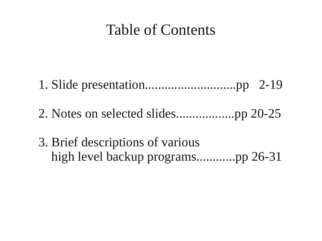# Table of Contents

1. Slide presentation............................pp 2-19

2. Notes on selected slides..................pp 20-25

3. Brief descriptions of various high level backup programs............pp 26-31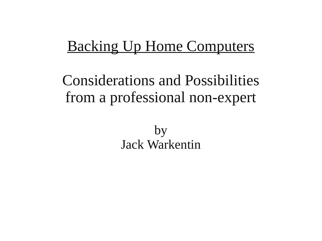# **Backing Up Home Computers**

# Considerations and Possibilities from a professional non-expert

by Jack Warkentin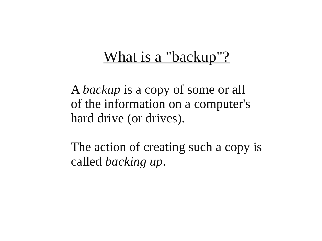# What is a "backup"?

A *backup* is a copy of some or all of the information on a computer's hard drive (or drives).

The action of creating such a copy is called *backing up*.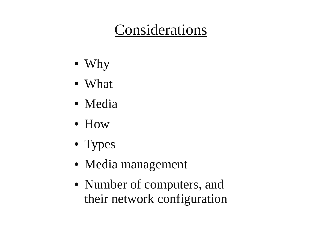# Considerations

- Why
- What
- Media
- How
- Types
- Media management
- Number of computers, and their network configuration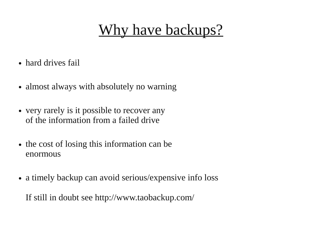# Why have backups?

- hard drives fail
- almost always with absolutely no warning
- very rarely is it possible to recover any of the information from a failed drive
- the cost of losing this information can be enormous
- a timely backup can avoid serious/expensive info loss

If still in doubt see http://www.taobackup.com/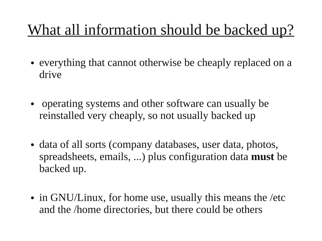# What all information should be backed up?

- everything that cannot otherwise be cheaply replaced on a drive
- operating systems and other software can usually be reinstalled very cheaply, so not usually backed up
- data of all sorts (company databases, user data, photos, spreadsheets, emails, ...) plus configuration data **must** be backed up.
- in GNU/Linux, for home use, usually this means the /etc and the /home directories, but there could be others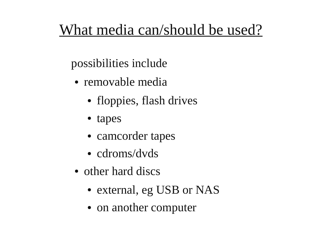# What media can/should be used?

possibilities include

- removable media
	- floppies, flash drives
	- tapes
	- camcorder tapes
	- cdroms/dvds
- other hard discs
	- external, eg USB or NAS
	- on another computer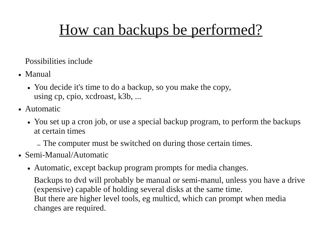# How can backups be performed?

Possibilities include

- Manual
	- You decide it's time to do a backup, so you make the copy, using cp, cpio, xcdroast, k3b, ...
- Automatic
	- You set up a cron job, or use a special backup program, to perform the backups at certain times
		- The computer must be switched on during those certain times.
- Semi-Manual/Automatic
	- Automatic, except backup program prompts for media changes.

Backups to dvd will probably be manual or semi-manul, unless you have a drive (expensive) capable of holding several disks at the same time. But there are higher level tools, eg multicd, which can prompt when media changes are required.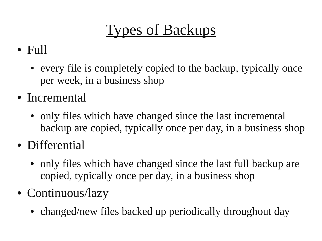Types of Backups

# ● Full

- every file is completely copied to the backup, typically once per week, in a business shop
- Incremental
	- only files which have changed since the last incremental backup are copied, typically once per day, in a business shop
- Differential
	- only files which have changed since the last full backup are copied, typically once per day, in a business shop
- Continuous/lazy
	- changed/new files backed up periodically throughout day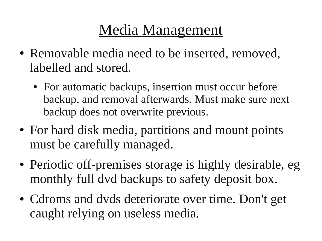# Media Management

- Removable media need to be inserted, removed, labelled and stored.
	- For automatic backups, insertion must occur before backup, and removal afterwards. Must make sure next backup does not overwrite previous.
- For hard disk media, partitions and mount points must be carefully managed.
- Periodic off-premises storage is highly desirable, eg monthly full dvd backups to safety deposit box.
- Cdroms and dvds deteriorate over time. Don't get caught relying on useless media.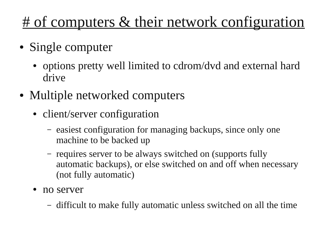# <u># of computers & their network configuration</u>

- Single computer
	- options pretty well limited to cdrom/dvd and external hard drive
- Multiple networked computers
	- client/server configuration
		- easiest configuration for managing backups, since only one machine to be backed up
		- requires server to be always switched on (supports fully automatic backups), or else switched on and off when necessary (not fully automatic)
	- no server
		- difficult to make fully automatic unless switched on all the time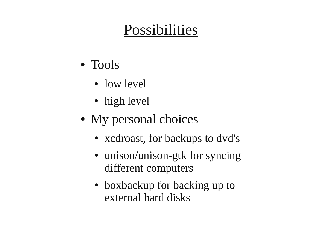# Possibilities

- Tools
	- low level
	- high level
- My personal choices
	- xcdroast, for backups to dvd's
	- unison/unison-gtk for syncing different computers
	- boxbackup for backing up to external hard disks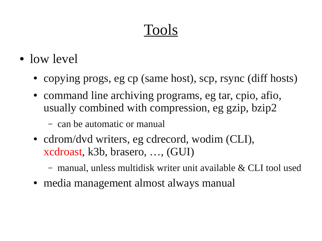# Tools

- $\bullet$  low level
	- copying progs, eg cp (same host), scp, rsync (diff hosts)
	- command line archiving programs, eg tar, cpio, afio, usually combined with compression, eg gzip, bzip2
		- can be automatic or manual
	- cdrom/dvd writers, eg cdrecord, wodim (CLI), xcdroast, k3b, brasero, …, (GUI)
		- manual, unless multidisk writer unit available & CLI tool used
	- media management almost always manual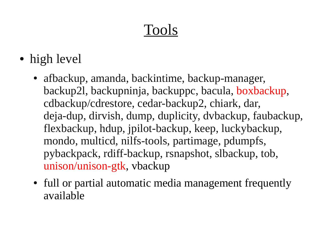# Tools

- high level
	- afbackup, amanda, backintime, backup-manager, backup2l, backupninja, backuppc, bacula, boxbackup, cdbackup/cdrestore, cedar-backup2, chiark, dar, deja-dup, dirvish, dump, duplicity, dvbackup, faubackup, flexbackup, hdup, jpilot-backup, keep, luckybackup, mondo, multicd, nilfs-tools, partimage, pdumpfs, pybackpack, rdiff-backup, rsnapshot, slbackup, tob, unison/unison-gtk, vbackup
	- full or partial automatic media management frequently available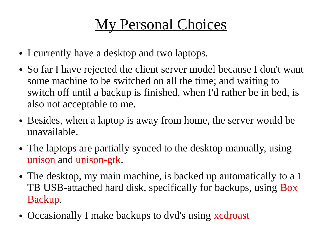# My Personal Choices

- I currently have a desktop and two laptops.
- So far I have rejected the client server model because I don't want some machine to be switched on all the time; and waiting to switch off until a backup is finished, when I'd rather be in bed, is also not acceptable to me.
- Besides, when a laptop is away from home, the server would be unavailable.
- The laptops are partially synced to the desktop manually, using unison and unison-gtk.
- The desktop, my main machine, is backed up automatically to a 1 TB USB-attached hard disk, specifically for backups, using Box Backup.
- Occasionally I make backups to dvd's using xcdroast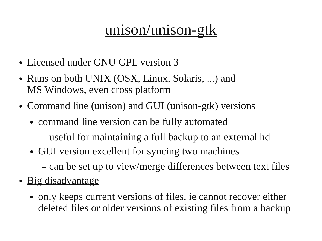# unison/unison-gtk

- Licensed under GNU GPL version 3
- Runs on both UNIX (OSX, Linux, Solaris, ...) and MS Windows, even cross platform
- Command line (unison) and GUI (unison-gtk) versions
	- command line version can be fully automated
		- useful for maintaining a full backup to an external hd
	- GUI version excellent for syncing two machines
		- can be set up to view/merge differences between text files
- Big disadvantage
	- only keeps current versions of files, ie cannot recover either deleted files or older versions of existing files from a backup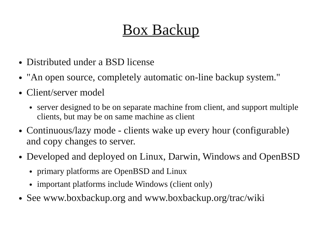# Box Backup

- Distributed under a BSD license
- "An open source, completely automatic on-line backup system."
- Client/server model
	- server designed to be on separate machine from client, and support multiple clients, but may be on same machine as client
- Continuous/lazy mode clients wake up every hour (configurable) and copy changes to server.
- Developed and deployed on Linux, Darwin, Windows and OpenBSD
	- primary platforms are OpenBSD and Linux
	- important platforms include Windows (client only)
- See www.boxbackup.org and www.boxbackup.org/trac/wiki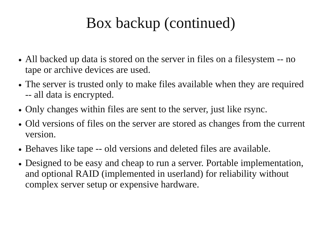# Box backup (continued)

- All backed up data is stored on the server in files on a filesystem -- no tape or archive devices are used.
- The server is trusted only to make files available when they are required -- all data is encrypted.
- Only changes within files are sent to the server, just like rsync.
- Old versions of files on the server are stored as changes from the current version.
- Behaves like tape -- old versions and deleted files are available.
- Designed to be easy and cheap to run a server. Portable implementation, and optional RAID (implemented in userland) for reliability without complex server setup or expensive hardware.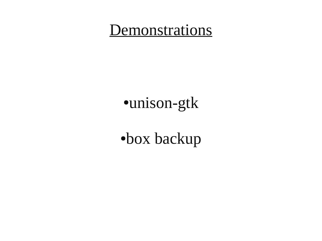# **Demonstrations**

# ●unison-gtk

●box backup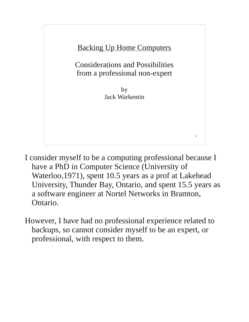

- I consider myself to be a computing professional because I have a PhD in Computer Science (University of Waterloo,1971), spent 10.5 years as a prof at Lakehead University, Thunder Bay, Ontario, and spent 15.5 years as a software engineer at Nortel Networks in Bramton, Ontario.
- However, I have had no professional experience related to backups, so cannot consider myself to be an expert, or professional, with respect to them.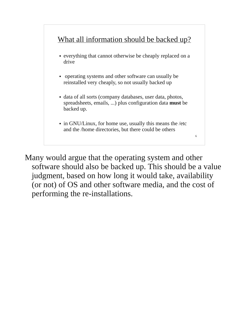

Many would argue that the operating system and other software should also be backed up. This should be a value judgment, based on how long it would take, availability (or not) of OS and other software media, and the cost of performing the re-installations.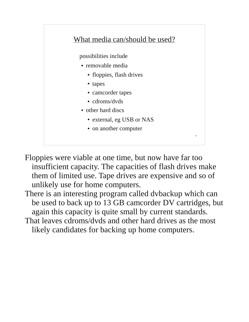

Floppies were viable at one time, but now have far too insufficient capacity. The capacities of flash drives make them of limited use. Tape drives are expensive and so of unlikely use for home computers.

There is an interesting program called dvbackup which can be used to back up to 13 GB camcorder DV cartridges, but again this capacity is quite small by current standards. That leaves cdroms/dvds and other hard drives as the most likely candidates for backing up home computers.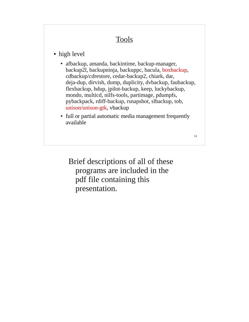# **Tools**

# • high level

- afbackup, amanda, backintime, backup-manager, backup2l, backupninja, backuppc, bacula, boxbackup, cdbackup/cdrestore, cedar-backup2, chiark, dar, deja-dup, dirvish, dump, duplicity, dvbackup, faubackup, flexbackup, hdup, jpilot-backup, keep, luckybackup, mondo, multicd, nilfs-tools, partimage, pdumpfs, pybackpack, rdiff-backup, rsnapshot, slbackup, tob, unison/unison-gtk, vbackup
- full or partial automatic media management frequently available

14

Brief descriptions of all of these programs are included in the pdf file containing this presentation.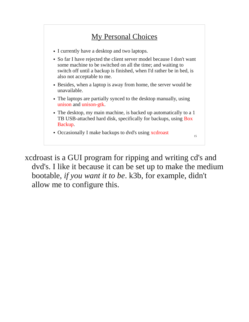

xcdroast is a GUI program for ripping and writing cd's and dvd's. I like it because it can be set up to make the medium bootable, *if you want it to be*. k3b, for example, didn't allow me to configure this.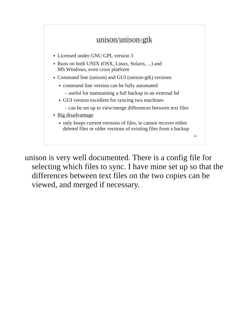

unison is very well documented. There is a config file for selecting which files to sync. I have mine set up so that the differences between text files on the two copies can be viewed, and merged if necessary.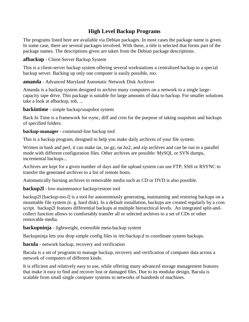# **High Level Backup Programs**

The programs listed here are available via Debian packages. In most cases the package name is given. In some case, there are several packages involved. With these, a title is selected that forms part of the package names. The descriptions given are taken from the Debian package descriptions.

**afbackup** - Client-Server Backup System

This is a client-server backup system offering several workstations a centralized backup to a special backup server. Backing up only one computer is easily possible, too.

**amanda** - Advanced Maryland Automatic Network Disk Archiver

Amanda is a backup system designed to archive many computers on a network to a single largecapacity tape drive. This package is suitable for large amounts of data to backup. For smaller solutions take a look at afbackup, tob, ...

**backintime** - simple backup/snapshot system

Back In Time is a framework for rsync, diff and cron for the purpose of taking snapshots and backups of specified folders.

**backup-manager** - command-line backup tool

This is a backup program, designed to help you make daily archives of your file system.

Written in bash and perl, it can make tar, tar.gz, tar.bz2, and zip archives and can be run in a parallel mode with different configuration files. Other archives are possible: MySQL or SVN dumps, incremental backups...

Archives are kept for a given number of days and the upload system can use FTP, SSH or RSYNC to transfer the generated archives to a list of remote hosts.

Automatically burning archives to removable media such as CD or DVD is also possible.

**backup2l** - low-maintenance backup/restore tool

backup2l [backup-too-l] is a tool for autonomously generating, maintaining and restoring backups on a mountable file system (e. g. hard disk). In a default installation, backups are created regularly by a cron script. backup2l features differential backups at multiple hierarchical levels. An integrated split-andcollect function allows to comfortably transfer all or selected archives to a set of CDs or other removable media.

**backupninja** - lightweight, extensible meta-backup system

Backupninja lets you drop simple config files in /etc/backup.d to coordinate system backups.

**bacula** - network backup, recovery and verification

Bacula is a set of programs to manage backup, recovery and verification of computer data across a network of computers of different kinds.

It is efficient and relatively easy to use, while offering many advanced storage management features that make it easy to find and recover lost or damaged files. Due to its modular design, Bacula is scalable from small single computer systems to networks of hundreds of machines.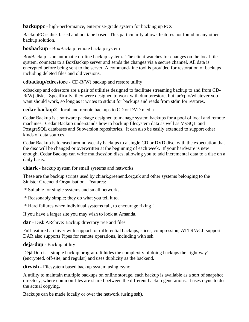**backuppc** - high-performance, enterprise-grade system for backing up PCs

BackupPC is disk based and not tape based. This particularity allows features not found in any other backup solution.

**boxbackup** - BoxBackup remote backup system

BoxBackup is an automatic on-line backup system. The client watches for changes on the local file system, connects to a BoxBackup server and sends the changes via a secure channel. All data is encrypted before being sent to the server. A command-line tool is provided for restoration of backups including deleted files and old versions.

# **cdbackup/cdrestore** - CD-R(W) backup and restore utility

cdbackup and cdrestore are a pair of utilities designed to facilitate streaming backup to and from CD-R(W) disks. Specifically, they were designed to work with dump/restore, but tar/cpio/whatever you want should work, so long as it writes to stdout for backups and reads from stdin for restores.

# **cedar-backup2** - local and remote backups to CD or DVD media

Cedar Backup is a software package designed to manage system backups for a pool of local and remote machines. Cedar Backup understands how to back up filesystem data as well as MySQL and PostgreSQL databases and Subversion repositories. It can also be easily extended to support other kinds of data sources.

Cedar Backup is focused around weekly backups to a single CD or DVD disc, with the expectation that the disc will be changed or overwritten at the beginning of each week. If your hardware is new enough, Cedar Backup can write multisession discs, allowing you to add incremental data to a disc on a daily basis.

**chiark** - backup system for small systems and networks

These are the backup scripts used by chiark.greenend.org.uk and other systems belonging to the Sinister Greenend Organisation. Features:

- \* Suitable for single systems and small networks.
- \* Reasonably simple; they do what you tell it to.
- \* Hard failures when individual systems fail, to encourage fixing !

If you have a larger site you may wish to look at Amanda.

**dar** - Disk ARchive: Backup directory tree and files

Full featured archiver with support for differential backups, slices, compression, ATTR/ACL support. DAR also supports Pipes for remote operations, including with ssh.

# **deja-dup** - Backup utility

Déjà Dup is a simple backup program. It hides the complexity of doing backups the 'right way' (encrypted, off-site, and regular) and uses duplicity as the backend.

**dirvish** - Filesystem based backup system using rsync

A utility to maintain multiple backups on online storage, each backup is available as a sort of snapshot directory, where common files are shared between the different backup generations. It uses rsync to do the actual copying.

Backups can be made locally or over the network (using ssh).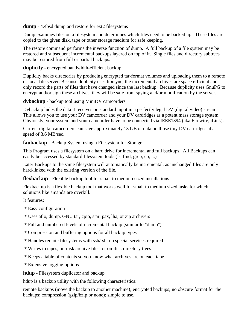### **dump** - 4.4bsd dump and restore for ext2 filesystems

Dump examines files on a filesystem and determines which files need to be backed up. These files are copied to the given disk, tape or other storage medium for safe keeping.

The restore command performs the inverse function of dump. A full backup of a file system may be restored and subsequent incremental backups layered on top of it. Single files and directory subtrees may be restored from full or partial backups.

## **duplicity** - encrypted bandwidth-efficient backup

Duplicity backs directories by producing encrypted tar-format volumes and uploading them to a remote or local file server. Because duplicity uses librsync, the incremental archives are space efficient and only record the parts of files that have changed since the last backup. Because duplicity uses GnuPG to encrypt and/or sign these archives, they will be safe from spying and/or modification by the server.

### **dvbackup** - backup tool using MiniDV camcorders

Dvbackup hides the data it receives on standard input in a perfectly legal DV (digital video) stream. This allows you to use your DV camcorder and your DV cardridges as a potent mass storage system. Obviously, your system and your camcorder have to be connected via IEEE1394 (aka Firewire, iLink).

Current digital camcorders can save approximately 13 GB of data on those tiny DV cartridges at a speed of 3.6 MB/sec.

## **faubackup** - Backup System using a Filesystem for Storage

This Program uses a filesystem on a hard drive for incremental and full backups. All Backups can easily be accessed by standard filesystem tools (ls, find, grep, cp, ...)

Later Backups to the same filesystem will automatically be incremental, as unchanged files are only hard-linked with the existing version of the file.

### **flexbackup** - Flexible backup tool for small to medium sized installations

Flexbackup is a flexible backup tool that works well for small to medium sized tasks for which solutions like amanda are overkill.

It features:

- \* Easy configuration
- \* Uses afio, dump, GNU tar, cpio, star, pax, lha, or zip archivers
- \* Full and numbered levels of incremental backup (similar to "dump")
- \* Compression and buffering options for all backup types
- \* Handles remote filesystems with ssh/rsh; no special services required
- \* Writes to tapes, on-disk archive files, or on-disk directory trees
- \* Keeps a table of contents so you know what archives are on each tape
- \* Extensive logging options

**hdup** - Filesystem duplicator and backup

hdup is a backup utility with the following characteristics:

remote backups (move the backup to another machine); encrypted backups; no obscure format for the backups; compression (gzip/bzip or none); simple to use.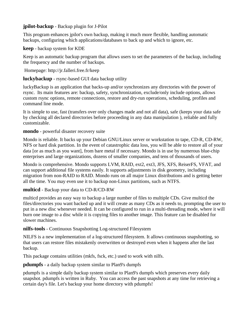### **jpilot-backup** - Backup plugin for J-Pilot

This program enhances jpilot's own backup, making it much more flexible, handling automatic backups, configuring which applications/databases to back up and which to ignore, etc.

### **keep** - backup system for KDE

Keep is an automatic backup program that allows users to set the parameters of the backup, including the frequency and the number of backups.

### Homepage: http://jr.falleri.free.fr/keep

### **luckybackup** - rsync-based GUI data backup utility

luckyBackup is an application that backs-up and/or synchronizes any directories with the power of rsync. Its main features are: backup, safety, synchronization, exclude/only include options, allows custom rsync options, remote connections, restore and dry-run operations, scheduling, profiles and command line mode.

It is simple to use, fast (transfers over only changes made and not all data), safe (keeps your data safe by checking all declared directories before proceeding in any data manipulation ), reliable and fully customizable.

### **mondo** - powerful disaster recovery suite

Mondo is reliable. It backs up your Debian GNU/Linux server or workstation to tape, CD-R, CD-RW, NFS or hard disk partition. In the event of catastrophic data loss, you will be able to restore all of your data [or as much as you want], from bare metal if necessary. Mondo is in use by numerous blue-chip enterprises and large organizations, dozens of smaller companies, and tens of thousands of users.

Mondo is comprehensive. Mondo supports LVM, RAID, ext2, ext3, JFS, XFS, ReiserFS, VFAT, and can support additional file systems easily. It supports adjustments in disk geometry, including migration from non-RAID to RAID. Mondo runs on all major Linux distributions and is getting better all the time. You may even use it to backup non-Linux partitions, such as NTFS.

### **multicd** - Backup your data to CD-R/CD-RW

multicd provides an easy way to backup a large number of files to multiple CDs. Give multicd the files/directories you want backed up and it will create as many CDs as it needs to, prompting the user to put in a new disc whenever needed. It can be configured to run in a multi-threading mode, where it will burn one image to a disc while it is copying files to another image. This feature can be disabled for slower machines.

### **nilfs-tools** - Continuous Snapshotting Log-structured Filesystem

NILFS is a new implementation of a log-structured filesystem. It allows continuous snapshotting, so that users can restore files mistakenly overwritten or destroyed even when it happens after the last backup.

This package contains utilities (mkfs, fsck, etc.) used to work with nilfs.

### **pdumpfs** - a daily backup system similar to Plan9's dumpfs

pdumpfs is a simple daily backup system similar to Plan9's dumpfs which preserves every daily snapshot. pdumpfs is written in Ruby. You can access the past snapshots at any time for retrieving a certain day's file. Let's backup your home directory with pdumpfs!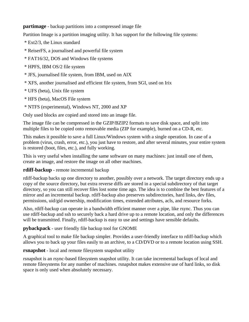### **partimage** - backup partitions into a compressed image file

Partition Image is a partition imaging utility. It has support for the following file systems:

- \* Ext2/3, the Linux standard
- \* ReiserFS, a journalised and powerful file system
- \* FAT16/32, DOS and Windows file systems
- \* HPFS, IBM OS/2 file system
- \* JFS, journalised file system, from IBM, used on AIX
- \* XFS, another journalised and efficient file system, from SGI, used on Irix
- \* UFS (beta), Unix file system
- \* HFS (beta), MacOS File system
- \* NTFS (experimental), Windows NT, 2000 and XP

Only used blocks are copied and stored into an image file.

The image file can be compressed in the GZIP/BZIP2 formats to save disk space, and split into multiple files to be copied onto removable media (ZIP for example), burned on a CD-R, etc.

This makes it possible to save a full Linux/Windows system with a single operation. In case of a problem (virus, crash, error, etc.), you just have to restore, and after several minutes, your entire system is restored (boot, files, etc.), and fully working.

This is very useful when installing the same software on many machines: just install one of them, create an image, and restore the image on all other machines.

### **rdiff-backup** - remote incremental backup

rdiff-backup backs up one directory to another, possibly over a network. The target directory ends up a copy of the source directory, but extra reverse diffs are stored in a special subdirectory of that target directory, so you can still recover files lost some time ago. The idea is to combine the best features of a mirror and an incremental backup. rdiff-backup also preserves subdirectories, hard links, dev files, permissions, uid/gid ownership, modification times, extended attributes, acls, and resource forks.

Also, rdiff-backup can operate in a bandwidth efficient manner over a pipe, like rsync. Thus you can use rdiff-backup and ssh to securely back a hard drive up to a remote location, and only the differences will be transmitted. Finally, rdiff-backup is easy to use and settings have sensible defaults.

# **pybackpack** - user friendly file backup tool for GNOME

A graphical tool to make file backup simpler. Provides a user-friendly interface to rdiff-backup which allows you to back up your files easily to an archive, to a CD/DVD or to a remote location using SSH.

# **rsnapshot** - local and remote filesystem snapshot utility

rsnapshot is an rsync-based filesystem snapshot utility. It can take incremental backups of local and remote filesystems for any number of machines. rsnapshot makes extensive use of hard links, so disk space is only used when absolutely necessary.